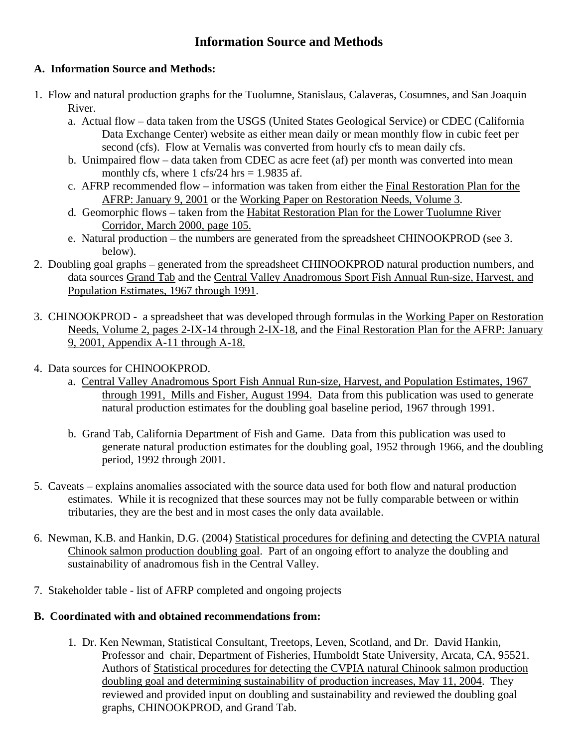## **Information Source and Methods**

## **A. Information Source and Methods:**

- 1. Flow and natural production graphs for the Tuolumne, Stanislaus, Calaveras, Cosumnes, and San Joaquin River.
	- a. Actual flow data taken from the USGS (United States Geological Service) or CDEC (California Data Exchange Center) website as either mean daily or mean monthly flow in cubic feet per second (cfs). Flow at Vernalis was converted from hourly cfs to mean daily cfs.
	- b. Unimpaired flow data taken from CDEC as acre feet (af) per month was converted into mean monthly cfs, where 1 cfs/24 hrs  $= 1.9835$  af.
	- c. AFRP recommended flow information was taken from either the Final Restoration Plan for the AFRP: January 9, 2001 or the Working Paper on Restoration Needs, Volume 3.
	- d. Geomorphic flows taken from the Habitat Restoration Plan for the Lower Tuolumne River Corridor, March 2000, page 105.
	- e. Natural production the numbers are generated from the spreadsheet CHINOOKPROD (see 3. below).
- 2. Doubling goal graphs generated from the spreadsheet CHINOOKPROD natural production numbers, and data sources Grand Tab and the Central Valley Anadromous Sport Fish Annual Run-size, Harvest, and Population Estimates, 1967 through 1991.
- 3. CHINOOKPROD a spreadsheet that was developed through formulas in the Working Paper on Restoration Needs, Volume 2, pages 2-IX-14 through 2-IX-18, and the Final Restoration Plan for the AFRP: January 9, 2001, Appendix A-11 through A-18.
- 4. Data sources for CHINOOKPROD.
	- a. Central Valley Anadromous Sport Fish Annual Run-size, Harvest, and Population Estimates, 1967 through 1991, Mills and Fisher, August 1994. Data from this publication was used to generate natural production estimates for the doubling goal baseline period, 1967 through 1991.
	- b. Grand Tab, California Department of Fish and Game. Data from this publication was used to generate natural production estimates for the doubling goal, 1952 through 1966, and the doubling period, 1992 through 2001.
- 5. Caveats explains anomalies associated with the source data used for both flow and natural production estimates. While it is recognized that these sources may not be fully comparable between or within tributaries, they are the best and in most cases the only data available.
- 6. Newman, K.B. and Hankin, D.G. (2004) Statistical procedures for defining and detecting the CVPIA natural Chinook salmon production doubling goal. Part of an ongoing effort to analyze the doubling and sustainability of anadromous fish in the Central Valley.
- 7. Stakeholder table list of AFRP completed and ongoing projects

## **B. Coordinated with and obtained recommendations from:**

 1. Dr. Ken Newman, Statistical Consultant, Treetops, Leven, Scotland, and Dr. David Hankin, Professor and chair, Department of Fisheries, Humboldt State University, Arcata, CA, 95521. Authors of Statistical procedures for detecting the CVPIA natural Chinook salmon production doubling goal and determining sustainability of production increases, May 11, 2004. They reviewed and provided input on doubling and sustainability and reviewed the doubling goal graphs, CHINOOKPROD, and Grand Tab.